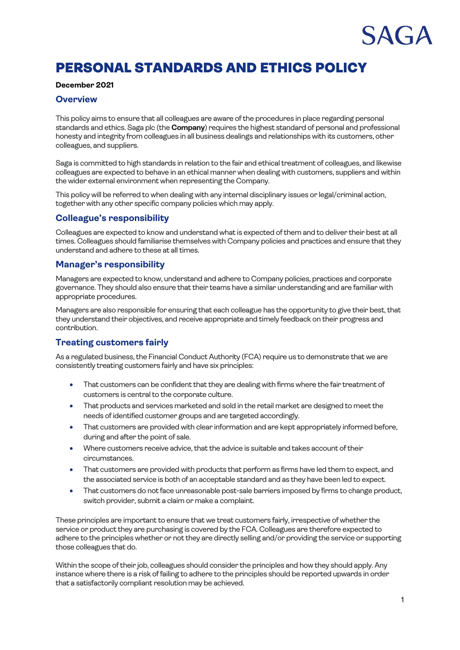# SAGA

## PERSONAL STANDARDS AND ETHICS POLICY

#### **December 2021**

#### **Overview**

This policy aims to ensure that all colleagues are aware of the procedures in place regarding personal standards and ethics. Saga plc (the **Company**) requires the highest standard of personal and professional honesty and integrity from colleagues in all business dealings and relationships with its customers, other colleagues, and suppliers.

Saga is committed to high standards in relation to the fair and ethical treatment of colleagues, and likewise colleagues are expected to behave in an ethical manner when dealing with customers, suppliers and within the wider external environment when representing the Company.

This policy will be referred to when dealing with any internal disciplinary issues or legal/criminal action, together with any other specific company policies which may apply.

#### **Colleague's responsibility**

Colleagues are expected to know and understand what is expected of them and to deliver their best at all times. Colleagues should familiarise themselves with Company policies and practices and ensure that they understand and adhere to these at all times.

#### **Manager's responsibility**

Managers are expected to know, understand and adhere to Company policies, practices and corporate governance. They should also ensure that their teams have a similar understanding and are familiar with appropriate procedures.

Managers are also responsible for ensuring that each colleague has the opportunity to give their best, that they understand their objectives, and receive appropriate and timely feedback on their progress and contribution.

#### **Treating customers fairly**

As a regulated business, the Financial Conduct Authority (FCA) require us to demonstrate that we are consistently treating customers fairly and have six principles:

- That customers can be confident that they are dealing with firms where the fair treatment of customers is central to the corporate culture.
- That products and services marketed and sold in the retail market are designed to meet the needs of identified customer groups and are targeted accordingly.
- That customers are provided with clear information and are kept appropriately informed before, during and after the point of sale.
- Where customers receive advice, that the advice is suitable and takes account of their circumstances.
- That customers are provided with products that perform as firms have led them to expect, and the associated service is both of an acceptable standard and as they have been led to expect.
- That customers do not face unreasonable post-sale barriers imposed by firms to change product, switch provider, submit a claim or make a complaint.

These principles are important to ensure that we treat customers fairly, irrespective of whether the service or product they are purchasing is covered by the FCA. Colleagues are therefore expected to adhere to the principles whether or not they are directly selling and/or providing the service or supporting those colleagues that do.

Within the scope of their job, colleagues should consider the principles and how they should apply. Any instance where there is a risk of failing to adhere to the principles should be reported upwards in order that a satisfactorily compliant resolution may be achieved.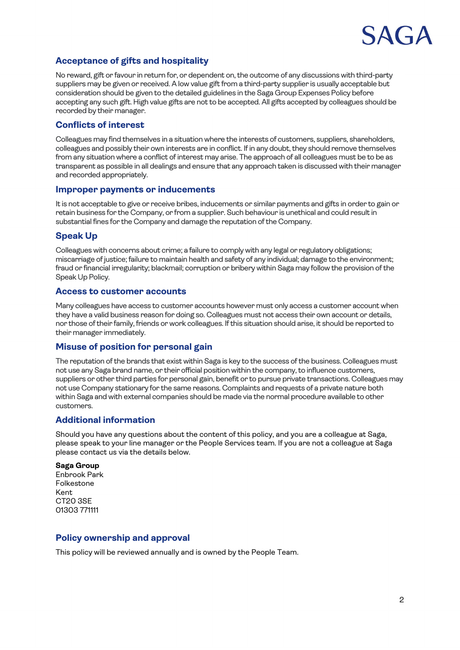

### **Acceptance of gifts and hospitality**

No reward, gift or favour in return for, or dependent on, the outcome of any discussions with third-party suppliers may be given or received. A low value gift from a third-party supplier is usually acceptable but consideration should be given to the detailed guidelines in the Saga Group Expenses Policy before accepting any such gift. High value gifts are not to be accepted. All gifts accepted by colleagues should be recorded by their manager.

#### **Conflicts of interest**

Colleagues may find themselves in a situation where the interests of customers, suppliers, shareholders, colleagues and possibly their own interests are in conflict. If in any doubt, they should remove themselves from any situation where a conflict of interest may arise. The approach of all colleagues must be to be as transparent as possible in all dealings and ensure that any approach taken is discussed with their manager and recorded appropriately.

#### **Improper payments or inducements**

It is not acceptable to give or receive bribes, inducements or similar payments and gifts in order to gain or retain business for the Company, or from a supplier. Such behaviour is unethical and could result in substantial fines for the Company and damage the reputation of the Company.

#### **Speak Up**

Colleagues with concerns about crime; a failure to comply with any legal or regulatory obligations; miscarriage of justice; failure to maintain health and safety of any individual; damage to the environment; fraud or financial irregularity; blackmail; corruption or bribery within Saga may follow the provision of the Speak Up Policy.

#### **Access to customer accounts**

Many colleagues have access to customer accounts however must only access a customer account when they have a valid business reason for doing so. Colleagues must not access their own account or details, nor those of their family, friends or work colleagues. If this situation should arise, it should be reported to their manager immediately.

#### **Misuse of position for personal gain**

The reputation of the brands that exist within Saga is key to the success of the business. Colleagues must not use any Saga brand name, or their official position within the company, to influence customers, suppliers or other third parties for personal gain, benefit or to pursue private transactions. Colleagues may not use Company stationary for the same reasons. Complaints and requests of a private nature both within Saga and with external companies should be made via the normal procedure available to other customers.

#### **Additional information**

Should you have any questions about the content of this policy, and you are a colleague at Saga, please speak to your line manager or the People Services team. If you are not a colleague at Saga please contact us via the details below.

#### **Saga Group**

Enbrook Park Folkestone Kent CT20 3SE 01303 771111

#### **Policy ownership and approval**

This policy will be reviewed annually and is owned by the People Team.